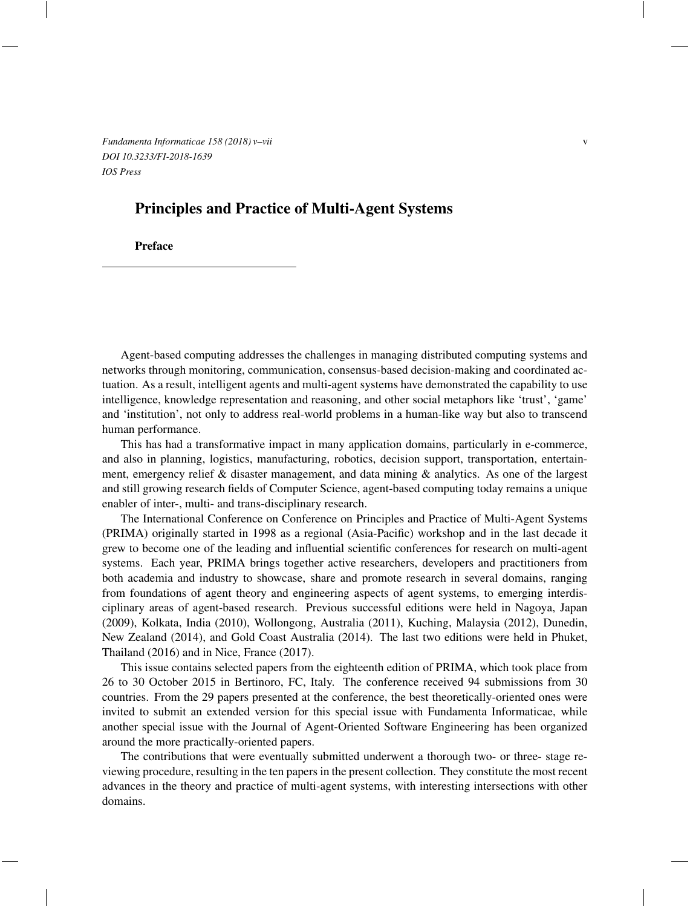*Fundamenta Informaticae 158 (2018) v-vii* important and the set of the set of the set of the set of the set of the set of the set of the set of the set of the set of the set of the set of the set of the set of the set of *DOI 10.3233/FI-2018-1639 IOS Press v–vii* v

## Principles and Practice of Multi-Agent Systems

Preface

Agent-based computing addresses the challenges in managing distributed computing systems and networks through monitoring, communication, consensus-based decision-making and coordinated actuation. As a result, intelligent agents and multi-agent systems have demonstrated the capability to use intelligence, knowledge representation and reasoning, and other social metaphors like 'trust', 'game' and 'institution', not only to address real-world problems in a human-like way but also to transcend human performance.

This has had a transformative impact in many application domains, particularly in e-commerce, and also in planning, logistics, manufacturing, robotics, decision support, transportation, entertainment, emergency relief  $\&$  disaster management, and data mining  $\&$  analytics. As one of the largest and still growing research fields of Computer Science, agent-based computing today remains a unique enabler of inter-, multi- and trans-disciplinary research.

The International Conference on Conference on Principles and Practice of Multi-Agent Systems (PRIMA) originally started in 1998 as a regional (Asia-Pacific) workshop and in the last decade it grew to become one of the leading and influential scientific conferences for research on multi-agent systems. Each year, PRIMA brings together active researchers, developers and practitioners from both academia and industry to showcase, share and promote research in several domains, ranging from foundations of agent theory and engineering aspects of agent systems, to emerging interdisciplinary areas of agent-based research. Previous successful editions were held in Nagoya, Japan (2009), Kolkata, India (2010), Wollongong, Australia (2011), Kuching, Malaysia (2012), Dunedin, New Zealand (2014), and Gold Coast Australia (2014). The last two editions were held in Phuket, Thailand (2016) and in Nice, France (2017).

This issue contains selected papers from the eighteenth edition of PRIMA, which took place from 26 to 30 October 2015 in Bertinoro, FC, Italy. The conference received 94 submissions from 30 countries. From the 29 papers presented at the conference, the best theoretically-oriented ones were invited to submit an extended version for this special issue with Fundamenta Informaticae, while another special issue with the Journal of Agent-Oriented Software Engineering has been organized around the more practically-oriented papers.

The contributions that were eventually submitted underwent a thorough two- or three- stage reviewing procedure, resulting in the ten papers in the present collection. They constitute the most recent advances in the theory and practice of multi-agent systems, with interesting intersections with other domains.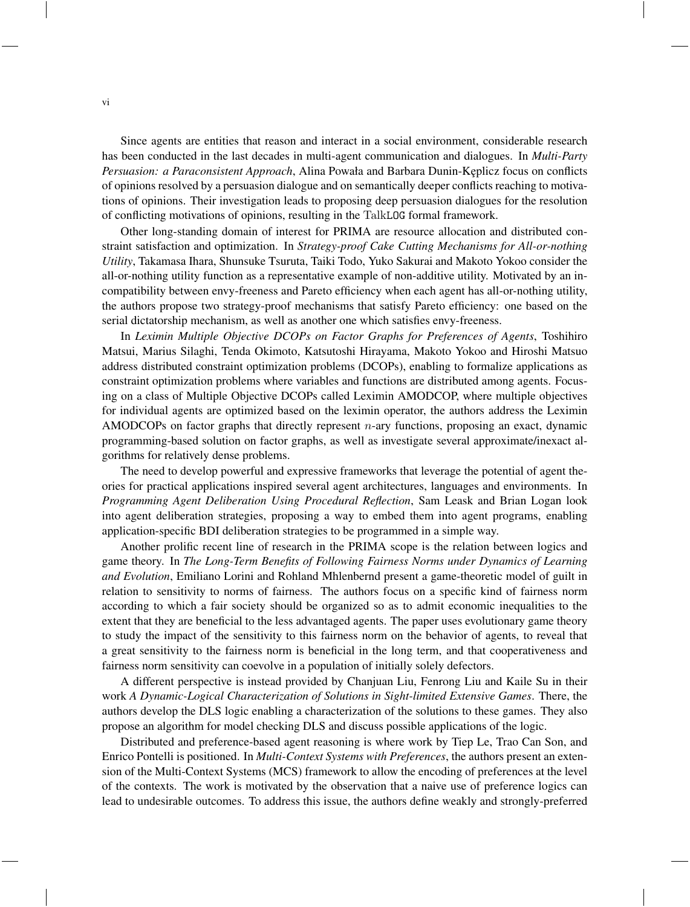Since agents are entities that reason and interact in a social environment, considerable research has been conducted in the last decades in multi-agent communication and dialogues. In *Multi-Party Persuasion: a Paraconsistent Approach*, Alina Powała and Barbara Dunin-Keplicz focus on conflicts of opinions resolved by a persuasion dialogue and on semantically deeper conflicts reaching to motivations of opinions. Their investigation leads to proposing deep persuasion dialogues for the resolution of conflicting motivations of opinions, resulting in the TalkLOG formal framework.

Other long-standing domain of interest for PRIMA are resource allocation and distributed constraint satisfaction and optimization. In *Strategy-proof Cake Cutting Mechanisms for All-or-nothing Utility*, Takamasa Ihara, Shunsuke Tsuruta, Taiki Todo, Yuko Sakurai and Makoto Yokoo consider the all-or-nothing utility function as a representative example of non-additive utility. Motivated by an incompatibility between envy-freeness and Pareto efficiency when each agent has all-or-nothing utility, the authors propose two strategy-proof mechanisms that satisfy Pareto efficiency: one based on the serial dictatorship mechanism, as well as another one which satisfies envy-freeness.

In *Leximin Multiple Objective DCOPs on Factor Graphs for Preferences of Agents*, Toshihiro Matsui, Marius Silaghi, Tenda Okimoto, Katsutoshi Hirayama, Makoto Yokoo and Hiroshi Matsuo address distributed constraint optimization problems (DCOPs), enabling to formalize applications as constraint optimization problems where variables and functions are distributed among agents. Focusing on a class of Multiple Objective DCOPs called Leximin AMODCOP, where multiple objectives for individual agents are optimized based on the leximin operator, the authors address the Leximin AMODCOPs on factor graphs that directly represent  $n$ -ary functions, proposing an exact, dynamic programming-based solution on factor graphs, as well as investigate several approximate/inexact algorithms for relatively dense problems.

The need to develop powerful and expressive frameworks that leverage the potential of agent theories for practical applications inspired several agent architectures, languages and environments. In *Programming Agent Deliberation Using Procedural Reflection*, Sam Leask and Brian Logan look into agent deliberation strategies, proposing a way to embed them into agent programs, enabling application-specific BDI deliberation strategies to be programmed in a simple way.

Another prolific recent line of research in the PRIMA scope is the relation between logics and game theory. In *The Long-Term Benefits of Following Fairness Norms under Dynamics of Learning and Evolution*, Emiliano Lorini and Rohland Mhlenbernd present a game-theoretic model of guilt in relation to sensitivity to norms of fairness. The authors focus on a specific kind of fairness norm according to which a fair society should be organized so as to admit economic inequalities to the extent that they are beneficial to the less advantaged agents. The paper uses evolutionary game theory to study the impact of the sensitivity to this fairness norm on the behavior of agents, to reveal that a great sensitivity to the fairness norm is beneficial in the long term, and that cooperativeness and fairness norm sensitivity can coevolve in a population of initially solely defectors.

A different perspective is instead provided by Chanjuan Liu, Fenrong Liu and Kaile Su in their work *A Dynamic-Logical Characterization of Solutions in Sight-limited Extensive Games*. There, the authors develop the DLS logic enabling a characterization of the solutions to these games. They also propose an algorithm for model checking DLS and discuss possible applications of the logic.

Distributed and preference-based agent reasoning is where work by Tiep Le, Trao Can Son, and Enrico Pontelli is positioned. In *Multi-Context Systems with Preferences*, the authors present an extension of the Multi-Context Systems (MCS) framework to allow the encoding of preferences at the level of the contexts. The work is motivated by the observation that a naive use of preference logics can lead to undesirable outcomes. To address this issue, the authors define weakly and strongly-preferred